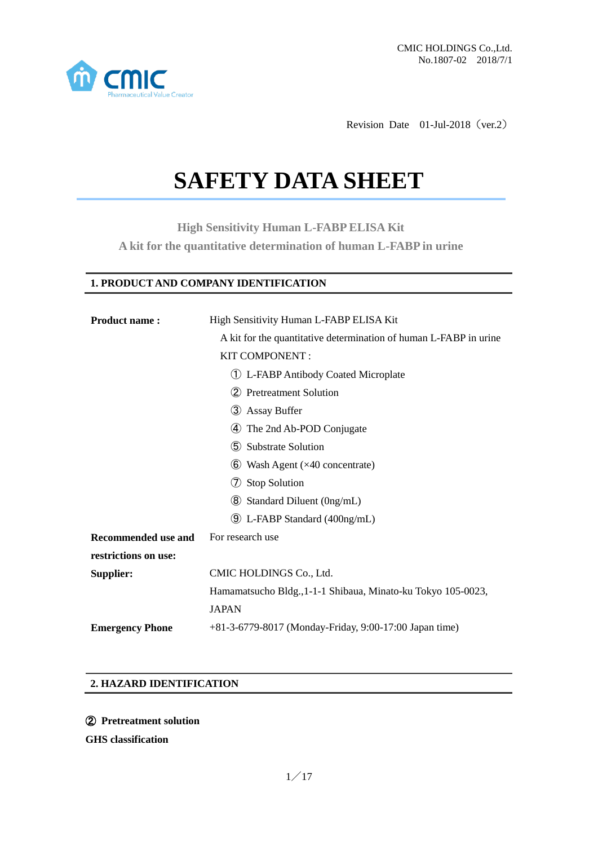

Revision Date 01-Jul-2018 (ver.2)

# **SAFETY DATA SHEET**

**High Sensitivity Human L-FABP ELISA Kit A kit for the quantitative determination of human L-FABP in urine**

# **1. PRODUCT AND COMPANY IDENTIFICATION**

| <b>Product name:</b>      | High Sensitivity Human L-FABP ELISA Kit                           |  |
|---------------------------|-------------------------------------------------------------------|--|
|                           | A kit for the quantitative determination of human L-FABP in urine |  |
|                           | KIT COMPONENT:                                                    |  |
|                           | (1) L-FABP Antibody Coated Microplate                             |  |
| (2) Pretreatment Solution |                                                                   |  |
|                           | 3 Assay Buffer                                                    |  |
|                           | The 2nd Ab-POD Conjugate<br>(4)                                   |  |
|                           | (5) Substrate Solution                                            |  |
|                           | $\bullet$ Wash Agent ( $\times$ 40 concentrate)                   |  |
|                           | <b>Stop Solution</b><br>(7)                                       |  |
|                           | <b>8</b> Standard Diluent (0ng/mL)                                |  |
|                           | <b>9</b> L-FABP Standard (400ng/mL)                               |  |
| Recommended use and       | For research use                                                  |  |
| restrictions on use:      |                                                                   |  |
| Supplier:                 | CMIC HOLDINGS Co., Ltd.                                           |  |
|                           | Hamamatsucho Bldg., 1-1-1 Shibaua, Minato-ku Tokyo 105-0023,      |  |
|                           | <b>JAPAN</b>                                                      |  |
| <b>Emergency Phone</b>    | +81-3-6779-8017 (Monday-Friday, 9:00-17:00 Japan time)            |  |

## **2. HAZARD IDENTIFICATION**

② **Pretreatment solution**

**GHS classification**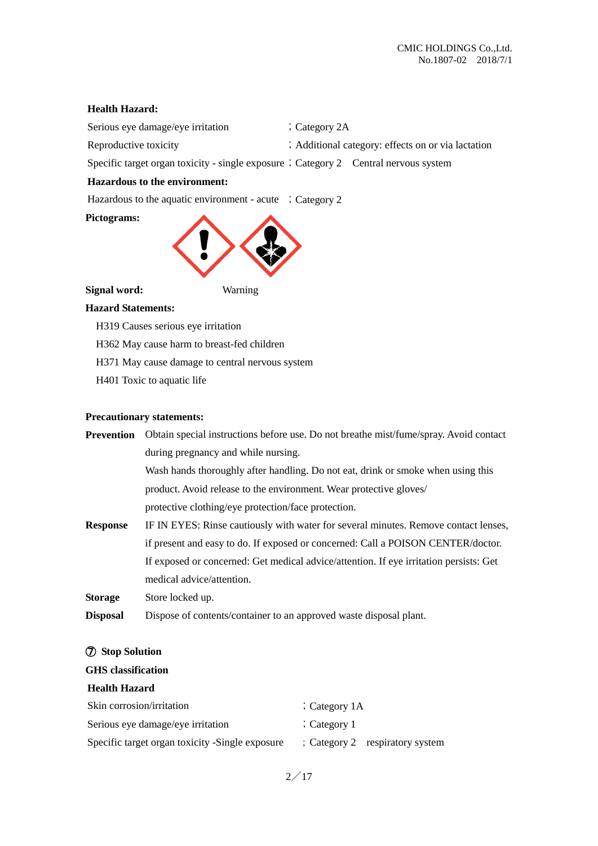## **Health Hazard:**

| Serious eye damage/eye irritation | $\therefore$ Category 2A |  |
|-----------------------------------|--------------------------|--|
|                                   |                          |  |

Reproductive toxicity ;Additional category: effects on or via lactation

Specific target organ toxicity - single exposure ; Category 2 Central nervous system

# **Hazardous to the environment:**

Hazardous to the aquatic environment - acute  $\therefore$  Category 2

#### **Pictograms:**



## **Signal word:** Warning

#### **Hazard Statements:**

H319 Causes serious eye irritation

H362 May cause harm to breast-fed children

- H371 May cause damage to central nervous system
- H401 Toxic to aquatic life

#### **Precautionary statements:**

| Prevention      | Obtain special instructions before use. Do not breathe mist/fume/spray. Avoid contact  |
|-----------------|----------------------------------------------------------------------------------------|
|                 | during pregnancy and while nursing.                                                    |
|                 | Wash hands thoroughly after handling. Do not eat, drink or smoke when using this       |
|                 | product. Avoid release to the environment. Wear protective gloves/                     |
|                 | protective clothing/eye protection/face protection.                                    |
| <b>Response</b> | IF IN EYES: Rinse cautiously with water for several minutes. Remove contact lenses,    |
|                 | if present and easy to do. If exposed or concerned: Call a POISON CENTER/doctor.       |
|                 | If exposed or concerned: Get medical advice/attention. If eye irritation persists: Get |
|                 | medical advice/attention.                                                              |
| <b>Storage</b>  | Store locked up.                                                                       |

**Disposal** Dispose of contents/container to an approved waste disposal plant.

#### ⑦ **Stop Solution**

#### **GHS classification**

#### **Health Hazard**

| Skin corrosion/irritation                       | $\therefore$ Category 1A |                                             |
|-------------------------------------------------|--------------------------|---------------------------------------------|
| Serious eye damage/eye irritation               | $\frac{1}{2}$ Category 1 |                                             |
| Specific target organ toxicity -Single exposure |                          | $\frac{1}{2}$ Category 2 respiratory system |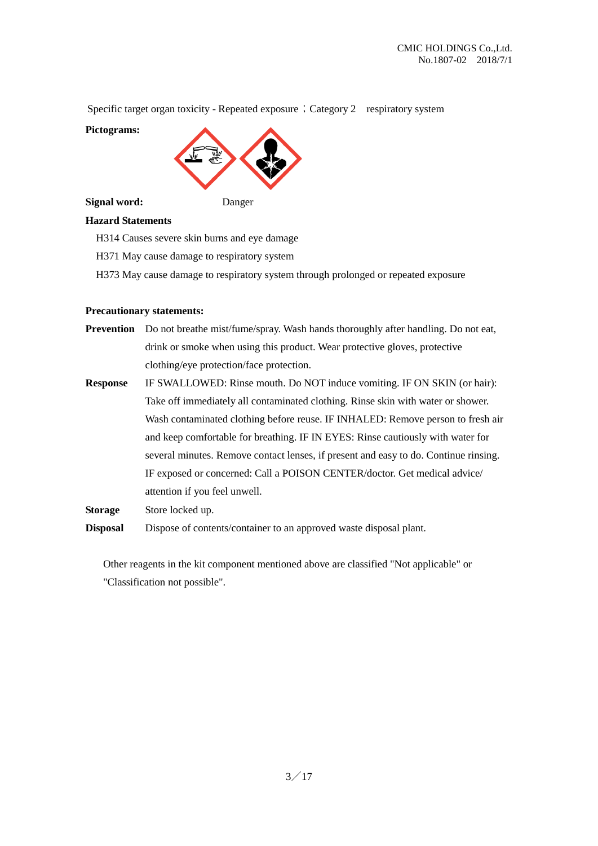Specific target organ toxicity - Repeated exposure; Category 2 respiratory system

**Pictograms:**



#### **Signal word:** Danger

# **Hazard Statements**

H314 Causes severe skin burns and eye damage

H371 May cause damage to respiratory system

H373 May cause damage to respiratory system through prolonged or repeated exposure

#### **Precautionary statements:**

- **Prevention** Do not breathe mist/fume/spray. Wash hands thoroughly after handling. Do not eat, drink or smoke when using this product. Wear protective gloves, protective clothing/eye protection/face protection.
- **Response** IF SWALLOWED: Rinse mouth. Do NOT induce vomiting. IF ON SKIN (or hair): Take off immediately all contaminated clothing. Rinse skin with water or shower. Wash contaminated clothing before reuse. IF INHALED: Remove person to fresh air and keep comfortable for breathing. IF IN EYES: Rinse cautiously with water for several minutes. Remove contact lenses, if present and easy to do. Continue rinsing. IF exposed or concerned: Call a POISON CENTER/doctor. Get medical advice/ attention if you feel unwell.

**Storage** Store locked up.

**Disposal** Dispose of contents/container to an approved waste disposal plant.

Other reagents in the kit component mentioned above are classified "Not applicable" or "Classification not possible".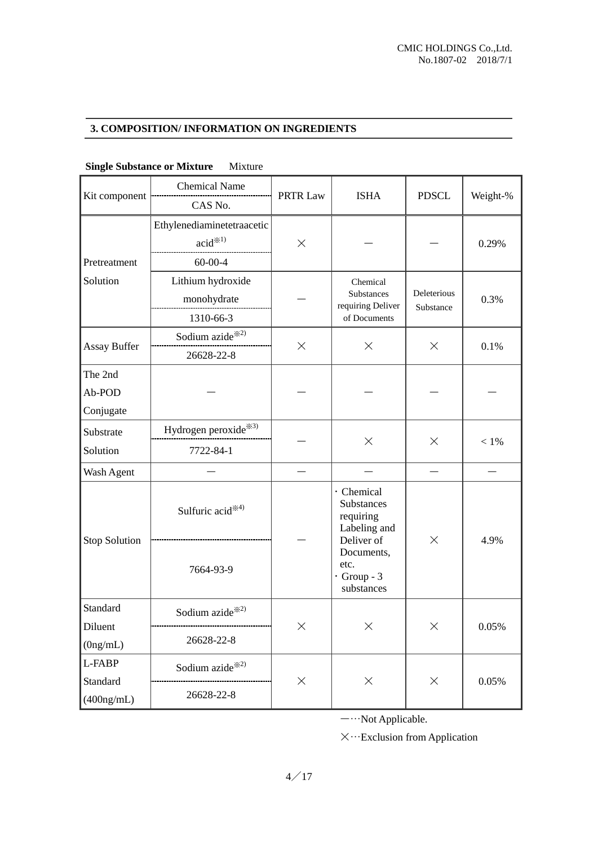# **3. COMPOSITION/ INFORMATION ON INGREDIENTS**

| Kit component                  | <b>Chemical Name</b><br>CAS No.                             | PRTR Law | <b>ISHA</b>                                                         | <b>PDSCL</b>             | Weight-% |
|--------------------------------|-------------------------------------------------------------|----------|---------------------------------------------------------------------|--------------------------|----------|
| Pretreatment                   | Ethylenediaminetetraacetic<br>acid $*^{1}$<br>$60 - 00 - 4$ | $\times$ |                                                                     |                          | 0.29%    |
| Solution                       | Lithium hydroxide<br>monohydrate<br>1310-66-3               |          | Chemical<br>Substances<br>requiring Deliver<br>of Documents         | Deleterious<br>Substance | 0.3%     |
| <b>Assay Buffer</b>            | Sodium azide <sup>**2)</sup><br>26628-22-8                  | $\times$ | $\times$                                                            | $\times$                 | 0.1%     |
| The 2nd<br>Ab-POD<br>Conjugate |                                                             |          |                                                                     |                          |          |
| Substrate<br>Solution          | Hydrogen peroxide <sup>※3)</sup><br>7722-84-1               |          | $\times$                                                            | $\times$                 | $<1\%$   |
| Wash Agent                     |                                                             |          |                                                                     |                          |          |
|                                | Sulfuric acid <sup>*4)</sup>                                |          | · Chemical<br>Substances<br>requiring<br>Labeling and<br>Deliver of | ×                        | 4.9%     |
| <b>Stop Solution</b>           | 7664-93-9                                                   |          | Documents,<br>etc.<br>$\cdot$ Group - 3<br>substances               |                          |          |
| Standard<br>Diluent            | Sodium azide $*^{2}$                                        | $\times$ | $\times$                                                            | X                        | 0.05%    |
| (0ng/mL)                       | 26628-22-8                                                  |          |                                                                     |                          |          |
| L-FABP                         | Sodium azide <sup>*2)</sup>                                 | $\times$ | $\times$                                                            | $\times$                 | 0.05%    |
| Standard<br>$(400$ ng/mL)      | 26628-22-8                                                  |          |                                                                     |                          |          |

# **Single Substance or Mixture** Mixture

-…Not Applicable.

 $\times \cdots$  Exclusion from Application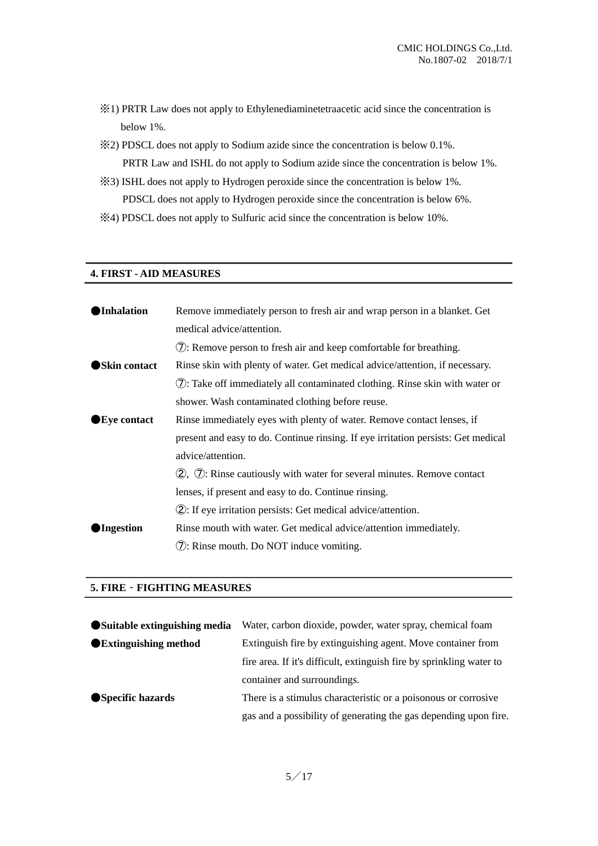- ※1) PRTR Law does not apply to Ethylenediaminetetraacetic acid since the concentration is below 1%.
- ※2) PDSCL does not apply to Sodium azide since the concentration is below 0.1%. PRTR Law and ISHL do not apply to Sodium azide since the concentration is below 1%.
- ※3) ISHL does not apply to Hydrogen peroxide since the concentration is below 1%. PDSCL does not apply to Hydrogen peroxide since the concentration is below 6%.
- ※4) PDSCL does not apply to Sulfuric acid since the concentration is below 10%.

#### **4. FIRST - AID MEASURES**

| Inhalation          | Remove immediately person to fresh air and wrap person in a blanket. Get          |  |
|---------------------|-----------------------------------------------------------------------------------|--|
|                     | medical advice/attention.                                                         |  |
|                     | (7): Remove person to fresh air and keep comfortable for breathing.               |  |
| <b>Skin contact</b> | Rinse skin with plenty of water. Get medical advice/attention, if necessary.      |  |
|                     | (7): Take off immediately all contaminated clothing. Rinse skin with water or     |  |
|                     | shower. Wash contaminated clothing before reuse.                                  |  |
| <b>Eye contact</b>  | Rinse immediately eyes with plenty of water. Remove contact lenses, if            |  |
|                     | present and easy to do. Continue rinsing. If eye irritation persists: Get medical |  |
|                     | advice/attention.                                                                 |  |
|                     | $(2)$ , $(7)$ : Rinse cautiously with water for several minutes. Remove contact   |  |
|                     | lenses, if present and easy to do. Continue rinsing.                              |  |
|                     | (2): If eye irritation persists: Get medical advice/attention.                    |  |
| Ingestion           | Rinse mouth with water. Get medical advice/attention immediately.                 |  |
|                     | (7): Rinse mouth. Do NOT induce vomiting.                                         |  |
|                     |                                                                                   |  |

# **5. FIRE**‐**FIGHTING MEASURES**

| Suitable extinguishing media | Water, carbon dioxide, powder, water spray, chemical foam            |  |
|------------------------------|----------------------------------------------------------------------|--|
| <b>Extinguishing method</b>  | Extinguish fire by extinguishing agent. Move container from          |  |
|                              | fire area. If it's difficult, extinguish fire by sprinkling water to |  |
|                              | container and surroundings.                                          |  |
| Specific hazards             | There is a stimulus characteristic or a poisonous or corrosive       |  |
|                              | gas and a possibility of generating the gas depending upon fire.     |  |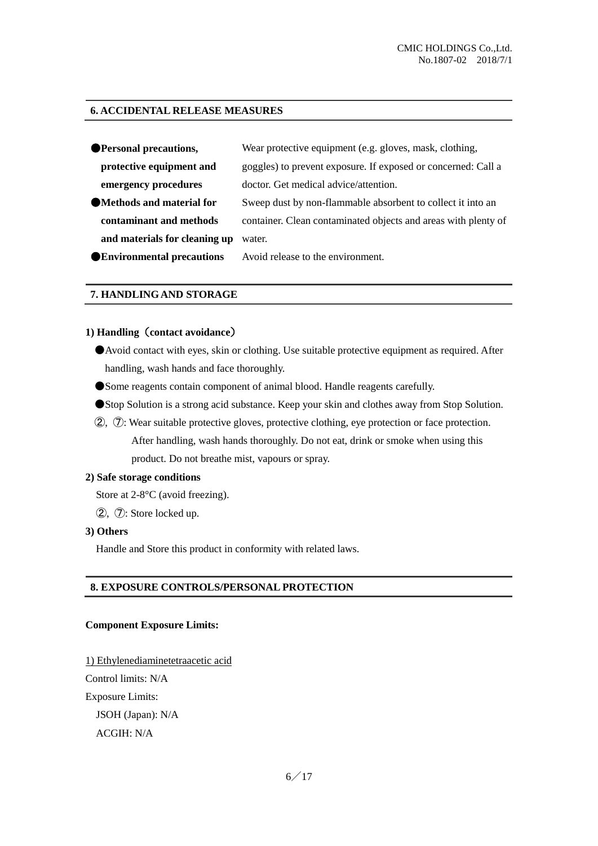#### **6. ACCIDENTAL RELEASE MEASURES**

| ● Personal precautions,          | Wear protective equipment (e.g. gloves, mask, clothing,        |
|----------------------------------|----------------------------------------------------------------|
| protective equipment and         | goggles) to prevent exposure. If exposed or concerned: Call a  |
| emergency procedures             | doctor. Get medical advice/attention.                          |
| • Methods and material for       | Sweep dust by non-flammable absorbent to collect it into an    |
| contaminant and methods          | container. Clean contaminated objects and areas with plenty of |
| and materials for cleaning up    | water.                                                         |
| <b>Environmental precautions</b> | Avoid release to the environment.                              |

## **7. HANDLING AND STORAGE**

#### **1) Handling**(**contact avoidance**)

- Avoid contact with eyes, skin or clothing. Use suitable protective equipment as required. After handling, wash hands and face thoroughly.
- ●Some reagents contain component of animal blood. Handle reagents carefully.
- ●Stop Solution is a strong acid substance. Keep your skin and clothes away from Stop Solution.
- ②, ⑦: Wear suitable protective gloves, protective clothing, eye protection or face protection. After handling, wash hands thoroughly. Do not eat, drink or smoke when using this product. Do not breathe mist, vapours or spray.

#### **2) Safe storage conditions**

Store at 2-8°C (avoid freezing).

②, ⑦: Store locked up.

#### **3) Others**

Handle and Store this product in conformity with related laws.

#### **8. EXPOSURE CONTROLS/PERSONAL PROTECTION**

#### **Component Exposure Limits:**

1) Ethylenediaminetetraacetic acid Control limits: N/A Exposure Limits: JSOH (Japan): N/A ACGIH: N/A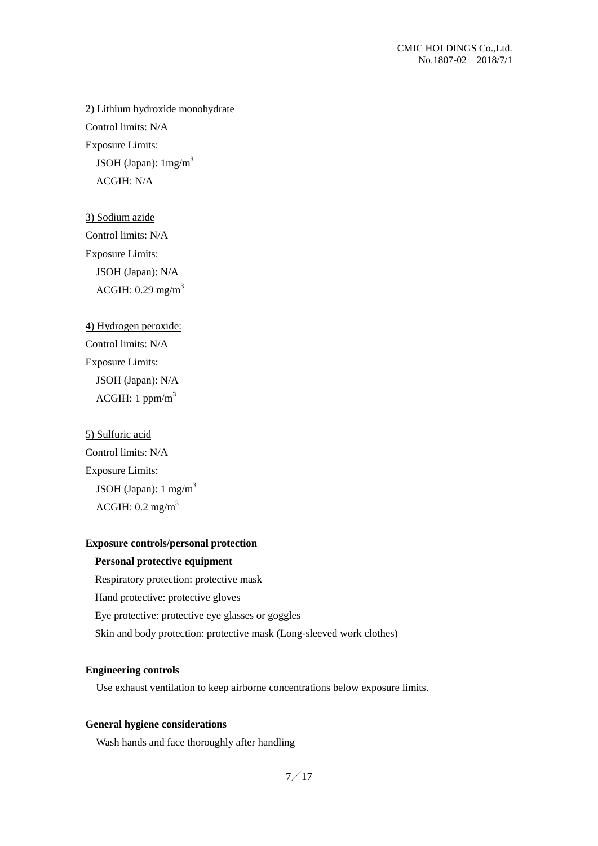2) Lithium hydroxide monohydrate Control limits: N/A Exposure Limits:

JSOH (Japan):  $1 \text{mg/m}^3$ ACGIH: N/A

3) Sodium azide Control limits: N/A Exposure Limits: JSOH (Japan): N/A ACGIH:  $0.29$  mg/m<sup>3</sup>

```
4) Hydrogen peroxide:
Control limits: N/A
Exposure Limits:
```
JSOH (Japan): N/A ACGIH: 1 ppm/ $m<sup>3</sup>$ 

5) Sulfuric acid Control limits: N/A Exposure Limits: JSOH (Japan):  $1 \text{ mg/m}^3$ ACGIH:  $0.2 \text{ mg/m}^3$ 

# **Exposure controls/personal protection**

#### **Personal protective equipment**

Respiratory protection: protective mask Hand protective: protective gloves Eye protective: protective eye glasses or goggles Skin and body protection: protective mask (Long-sleeved work clothes)

#### **Engineering controls**

Use exhaust ventilation to keep airborne concentrations below exposure limits.

#### **General hygiene considerations**

Wash hands and face thoroughly after handling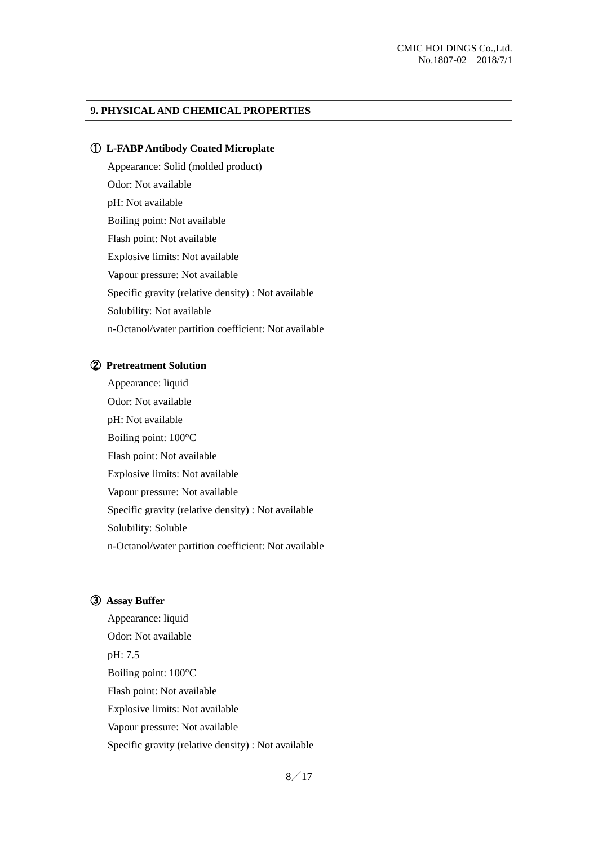#### **9. PHYSICAL AND CHEMICAL PROPERTIES**

#### ① **L-FABP Antibody Coated Microplate**

Appearance: Solid (molded product) Odor: Not available pH: Not available Boiling point: Not available Flash point: Not available Explosive limits: Not available Vapour pressure: Not available Specific gravity (relative density) : Not available Solubility: Not available n-Octanol/water partition coefficient: Not available

#### ② **Pretreatment Solution**

Appearance: liquid Odor: Not available pH: Not available Boiling point: 100°C Flash point: Not available Explosive limits: Not available Vapour pressure: Not available Specific gravity (relative density) : Not available Solubility: Soluble n-Octanol/water partition coefficient: Not available

# ③ **Assay Buffer**

Appearance: liquid Odor: Not available pH: 7.5 Boiling point: 100°C Flash point: Not available Explosive limits: Not available Vapour pressure: Not available Specific gravity (relative density) : Not available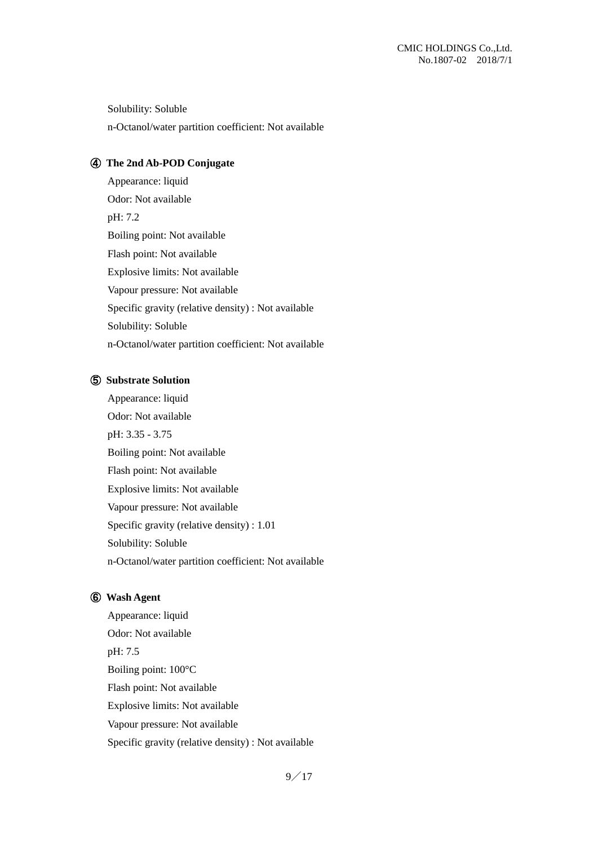Solubility: Soluble n-Octanol/water partition coefficient: Not available

# ④ **The 2nd Ab-POD Conjugate**

Appearance: liquid Odor: Not available pH: 7.2 Boiling point: Not available Flash point: Not available Explosive limits: Not available Vapour pressure: Not available Specific gravity (relative density) : Not available Solubility: Soluble n-Octanol/water partition coefficient: Not available

## ⑤ **Substrate Solution**

Appearance: liquid Odor: Not available pH: 3.35 - 3.75 Boiling point: Not available Flash point: Not available Explosive limits: Not available Vapour pressure: Not available Specific gravity (relative density) : 1.01 Solubility: Soluble n-Octanol/water partition coefficient: Not available

## ⑥ **Wash Agent**

Appearance: liquid Odor: Not available pH: 7.5 Boiling point: 100°C Flash point: Not available Explosive limits: Not available Vapour pressure: Not available Specific gravity (relative density) : Not available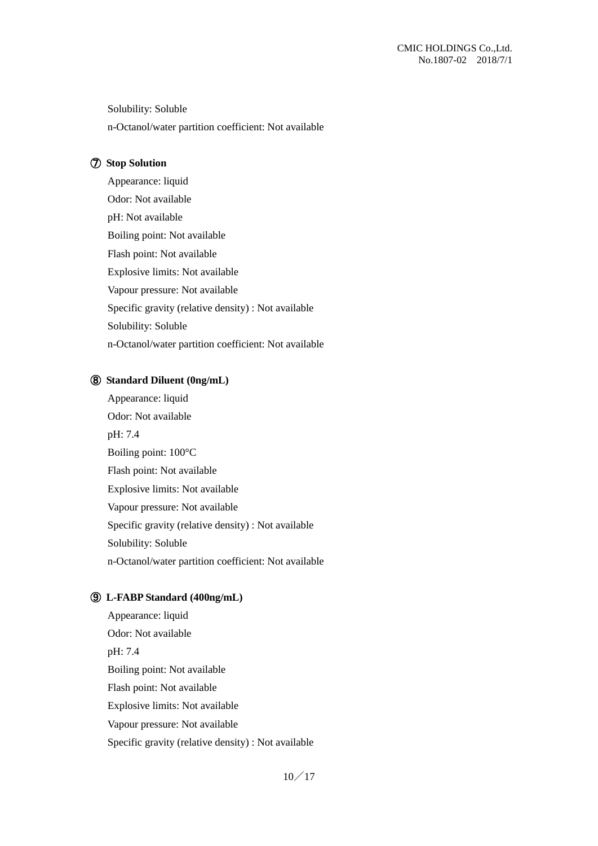Solubility: Soluble n-Octanol/water partition coefficient: Not available

#### ⑦ **Stop Solution**

Appearance: liquid Odor: Not available pH: Not available Boiling point: Not available Flash point: Not available Explosive limits: Not available Vapour pressure: Not available Specific gravity (relative density) : Not available Solubility: Soluble n-Octanol/water partition coefficient: Not available

#### ⑧ **Standard Diluent (0ng/mL)**

Appearance: liquid Odor: Not available pH: 7.4 Boiling point: 100°C Flash point: Not available Explosive limits: Not available Vapour pressure: Not available Specific gravity (relative density) : Not available Solubility: Soluble n-Octanol/water partition coefficient: Not available

#### ⑨ **L-FABP Standard (400ng/mL)**

Appearance: liquid Odor: Not available pH: 7.4 Boiling point: Not available Flash point: Not available Explosive limits: Not available Vapour pressure: Not available Specific gravity (relative density) : Not available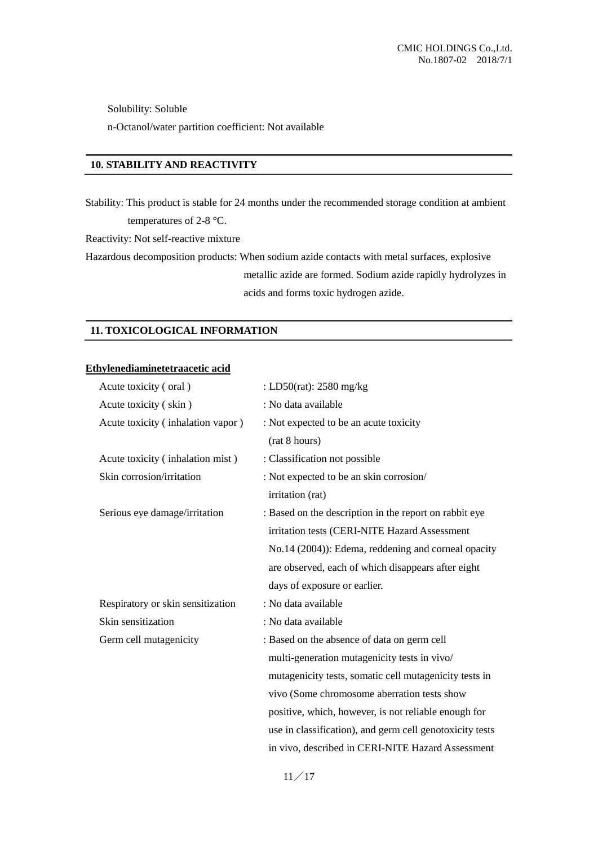Solubility: Soluble

n-Octanol/water partition coefficient: Not available

## **10. STABILITY AND REACTIVITY**

Stability: This product is stable for 24 months under the recommended storage condition at ambient temperatures of 2-8 °C.

Reactivity: Not self-reactive mixture

Hazardous decomposition products: When sodium azide contacts with metal surfaces, explosive metallic azide are formed. Sodium azide rapidly hydrolyzes in acids and forms toxic hydrogen azide.

# **11. TOXICOLOGICAL INFORMATION**

# **Ethylenediaminetetraacetic acid**

| Acute toxicity (oral)             | : LD50(rat): 2580 mg/kg                                  |
|-----------------------------------|----------------------------------------------------------|
| Acute toxicity (skin)             | : No data available                                      |
| Acute toxicity (inhalation vapor) | : Not expected to be an acute toxicity                   |
|                                   | (rat 8 hours)                                            |
| Acute toxicity (inhalation mist)  | : Classification not possible                            |
| Skin corrosion/irritation         | : Not expected to be an skin corrosion/                  |
|                                   | irritation (rat)                                         |
| Serious eye damage/irritation     | : Based on the description in the report on rabbit eye   |
|                                   | irritation tests (CERI-NITE Hazard Assessment            |
|                                   | No.14 (2004)): Edema, reddening and corneal opacity      |
|                                   | are observed, each of which disappears after eight       |
|                                   | days of exposure or earlier.                             |
| Respiratory or skin sensitization | : No data available                                      |
| Skin sensitization                | : No data available                                      |
| Germ cell mutagenicity            | : Based on the absence of data on germ cell              |
|                                   | multi-generation mutagenicity tests in vivo/             |
|                                   | mutagenicity tests, somatic cell mutagenicity tests in   |
|                                   | vivo (Some chromosome aberration tests show              |
|                                   | positive, which, however, is not reliable enough for     |
|                                   | use in classification), and germ cell genotoxicity tests |
|                                   | in vivo, described in CERI-NITE Hazard Assessment        |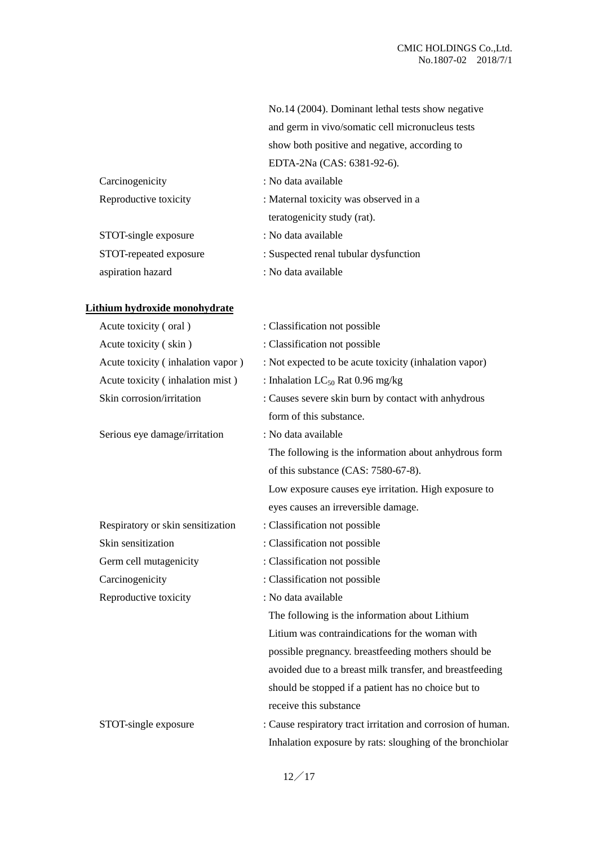|                        | No.14 (2004). Dominant lethal tests show negative |
|------------------------|---------------------------------------------------|
|                        | and germ in vivo/somatic cell micronucleus tests  |
|                        | show both positive and negative, according to     |
|                        | EDTA-2Na (CAS: 6381-92-6).                        |
| Carcinogenicity        | : No data available                               |
| Reproductive toxicity  | : Maternal toxicity was observed in a             |
|                        | teratogenicity study (rat).                       |
| STOT-single exposure   | : No data available                               |
| STOT-repeated exposure | : Suspected renal tubular dysfunction             |
| aspiration hazard      | : No data available                               |

# **Lithium hydroxide monohydrate**

| Acute toxicity (oral)             | : Classification not possible                                |
|-----------------------------------|--------------------------------------------------------------|
| Acute toxicity (skin)             | : Classification not possible                                |
| Acute toxicity (inhalation vapor) | : Not expected to be acute toxicity (inhalation vapor)       |
| Acute toxicity (inhalation mist)  | : Inhalation $LC_{50}$ Rat 0.96 mg/kg                        |
| Skin corrosion/irritation         | : Causes severe skin burn by contact with anhydrous          |
|                                   | form of this substance.                                      |
| Serious eye damage/irritation     | : No data available                                          |
|                                   | The following is the information about anhydrous form        |
|                                   | of this substance (CAS: 7580-67-8).                          |
|                                   | Low exposure causes eye irritation. High exposure to         |
|                                   | eyes causes an irreversible damage.                          |
| Respiratory or skin sensitization | : Classification not possible                                |
| Skin sensitization                | : Classification not possible                                |
| Germ cell mutagenicity            | : Classification not possible                                |
| Carcinogenicity                   | : Classification not possible                                |
| Reproductive toxicity             | : No data available                                          |
|                                   | The following is the information about Lithium               |
|                                   | Litium was contraindications for the woman with              |
|                                   | possible pregnancy. breastfeeding mothers should be          |
|                                   | avoided due to a breast milk transfer, and breastfeeding     |
|                                   | should be stopped if a patient has no choice but to          |
|                                   | receive this substance                                       |
| STOT-single exposure              | : Cause respiratory tract irritation and corrosion of human. |
|                                   | Inhalation exposure by rats: sloughing of the bronchiolar    |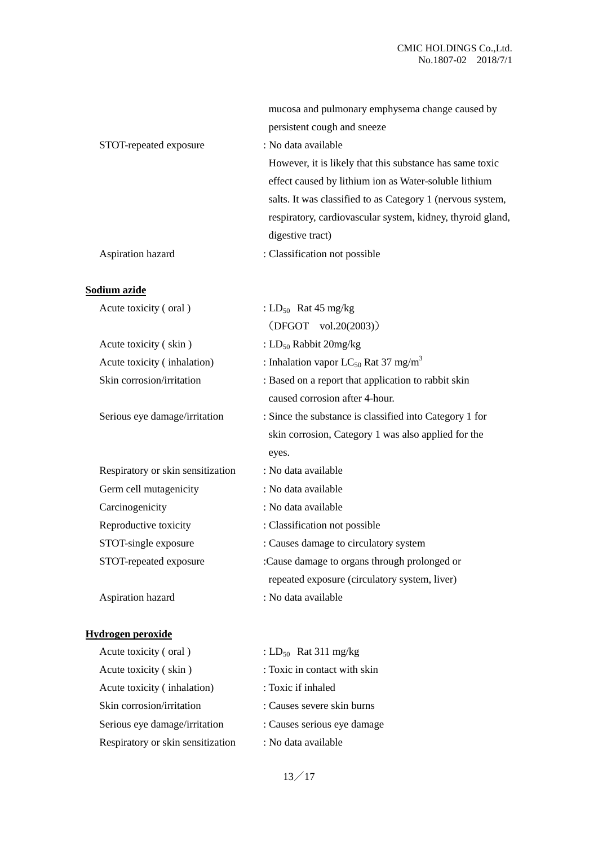|                        | mucosa and pulmonary emphysema change caused by            |
|------------------------|------------------------------------------------------------|
|                        | persistent cough and sneeze                                |
| STOT-repeated exposure | : No data available                                        |
|                        | However, it is likely that this substance has same toxic   |
|                        | effect caused by lithium ion as Water-soluble lithium      |
|                        | salts. It was classified to as Category 1 (nervous system, |
|                        | respiratory, cardiovascular system, kidney, thyroid gland, |
|                        | digestive tract)                                           |
| Aspiration hazard      | : Classification not possible                              |

# **Sodium azide**

| Acute toxicity (oral)             | : $LD_{50}$ Rat 45 mg/kg                                     |
|-----------------------------------|--------------------------------------------------------------|
|                                   | $(DFGOT \tvol.20(2003))$                                     |
| Acute toxicity (skin)             | : $LD_{50}$ Rabbit 20mg/kg                                   |
| Acute toxicity (inhalation)       | : Inhalation vapor LC <sub>50</sub> Rat 37 mg/m <sup>3</sup> |
| Skin corrosion/irritation         | : Based on a report that application to rabbit skin          |
|                                   | caused corrosion after 4-hour.                               |
| Serious eye damage/irritation     | : Since the substance is classified into Category 1 for      |
|                                   | skin corrosion, Category 1 was also applied for the          |
|                                   | eyes.                                                        |
| Respiratory or skin sensitization | : No data available                                          |
| Germ cell mutagenicity            | : No data available                                          |
| Carcinogenicity                   | : No data available                                          |
| Reproductive toxicity             | : Classification not possible                                |
| STOT-single exposure              | : Causes damage to circulatory system                        |
| STOT-repeated exposure            | :Cause damage to organs through prolonged or                 |
|                                   | repeated exposure (circulatory system, liver)                |
| Aspiration hazard                 | : No data available                                          |
|                                   |                                                              |

# **Hydrogen peroxide**

| Acute toxicity (oral)             | : $LD_{50}$ Rat 311 mg/kg    |
|-----------------------------------|------------------------------|
| Acute toxicity (skin)             | : Toxic in contact with skin |
| Acute toxicity (inhalation)       | : Toxic if inhaled           |
| Skin corrosion/irritation         | : Causes severe skin burns   |
| Serious eye damage/irritation     | : Causes serious eye damage  |
| Respiratory or skin sensitization | : No data available          |

13/17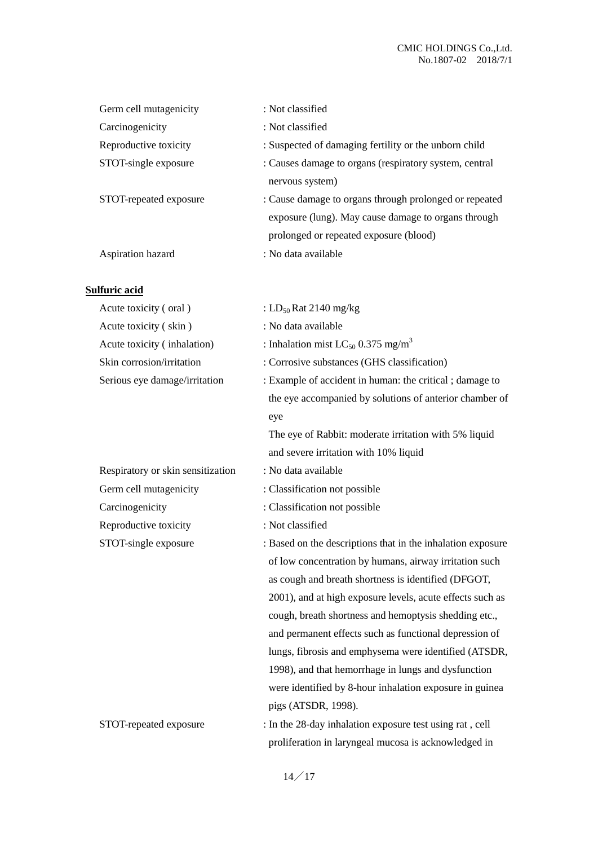| Germ cell mutagenicity | : Not classified                                       |
|------------------------|--------------------------------------------------------|
| Carcinogenicity        | : Not classified                                       |
| Reproductive toxicity  | : Suspected of damaging fertility or the unborn child  |
| STOT-single exposure   | : Causes damage to organs (respiratory system, central |
|                        | nervous system)                                        |
| STOT-repeated exposure | : Cause damage to organs through prolonged or repeated |
|                        | exposure (lung). May cause damage to organs through    |
|                        | prolonged or repeated exposure (blood)                 |
| Aspiration hazard      | : No data available                                    |
|                        |                                                        |

# **Sulfuric acid**

| Acute toxicity (oral)             | : LD <sub>50</sub> Rat 2140 mg/kg                           |
|-----------------------------------|-------------------------------------------------------------|
| Acute toxicity (skin)             | : No data available                                         |
| Acute toxicity (inhalation)       | : Inhalation mist $LC_{50}$ 0.375 mg/m <sup>3</sup>         |
| Skin corrosion/irritation         | : Corrosive substances (GHS classification)                 |
| Serious eye damage/irritation     | : Example of accident in human: the critical; damage to     |
|                                   | the eye accompanied by solutions of anterior chamber of     |
|                                   | eye                                                         |
|                                   | The eye of Rabbit: moderate irritation with 5% liquid       |
|                                   | and severe irritation with 10% liquid                       |
| Respiratory or skin sensitization | : No data available                                         |
| Germ cell mutagenicity            | : Classification not possible                               |
| Carcinogenicity                   | : Classification not possible                               |
| Reproductive toxicity             | : Not classified                                            |
| STOT-single exposure              | : Based on the descriptions that in the inhalation exposure |
|                                   | of low concentration by humans, airway irritation such      |
|                                   | as cough and breath shortness is identified (DFGOT,         |
|                                   | 2001), and at high exposure levels, acute effects such as   |
|                                   | cough, breath shortness and hemoptysis shedding etc.,       |
|                                   | and permanent effects such as functional depression of      |
|                                   | lungs, fibrosis and emphysema were identified (ATSDR,       |
|                                   | 1998), and that hemorrhage in lungs and dysfunction         |
|                                   | were identified by 8-hour inhalation exposure in guinea     |
|                                   | pigs (ATSDR, 1998).                                         |
| STOT-repeated exposure            | : In the 28-day inhalation exposure test using rat, cell    |
|                                   | proliferation in laryngeal mucosa is acknowledged in        |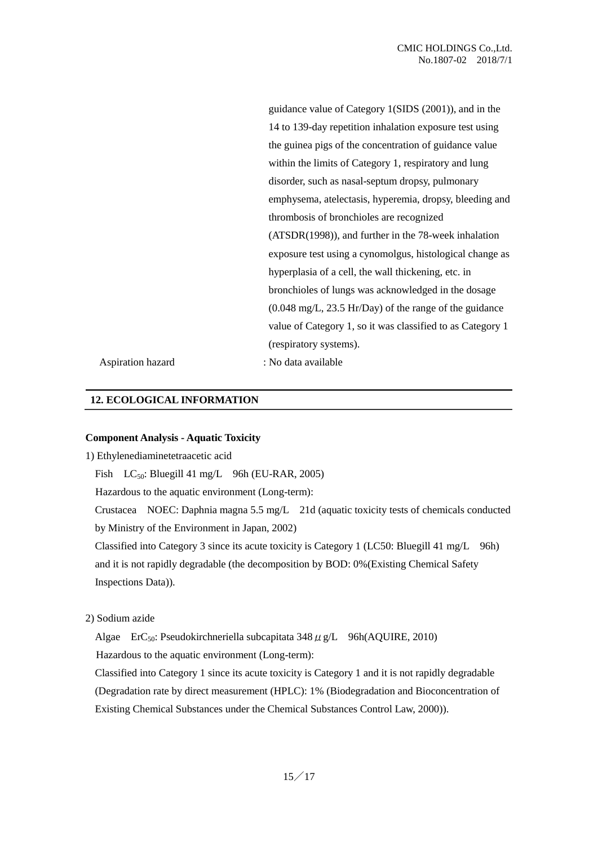guidance value of Category 1(SIDS (2001)), and in the 14 to 139-day repetition inhalation exposure test using the guinea pigs of the concentration of guidance value within the limits of Category 1, respiratory and lung disorder, such as nasal-septum dropsy, pulmonary emphysema, atelectasis, hyperemia, dropsy, bleeding and thrombosis of bronchioles are recognized (ATSDR(1998)), and further in the 78-week inhalation exposure test using a cynomolgus, histological change as hyperplasia of a cell, the wall thickening, etc. in bronchioles of lungs was acknowledged in the dosage (0.048 mg/L, 23.5 Hr/Day) of the range of the guidance value of Category 1, so it was classified to as Category 1 (respiratory systems).

Aspiration hazard

: No data available

#### **12. ECOLOGICAL INFORMATION**

#### **Component Analysis - Aquatic Toxicity**

1) Ethylenediaminetetraacetic acid

Fish  $LC_{50}$ : Bluegill 41 mg/L 96h (EU-RAR, 2005)

Hazardous to the aquatic environment (Long-term):

Crustacea NOEC: Daphnia magna 5.5 mg/L 21d (aquatic toxicity tests of chemicals conducted by Ministry of the Environment in Japan, 2002)

Classified into Category 3 since its acute toxicity is Category 1 (LC50: Bluegill 41 mg/L 96h) and it is not rapidly degradable (the decomposition by BOD: 0%(Existing Chemical Safety Inspections Data)).

2) Sodium azide

Algae ErC<sub>50</sub>: Pseudokirchneriella subcapitata  $348 \mu$  g/L 96h(AQUIRE, 2010) Hazardous to the aquatic environment (Long-term):

Classified into Category 1 since its acute toxicity is Category 1 and it is not rapidly degradable (Degradation rate by direct measurement (HPLC): 1% (Biodegradation and Bioconcentration of Existing Chemical Substances under the Chemical Substances Control Law, 2000)).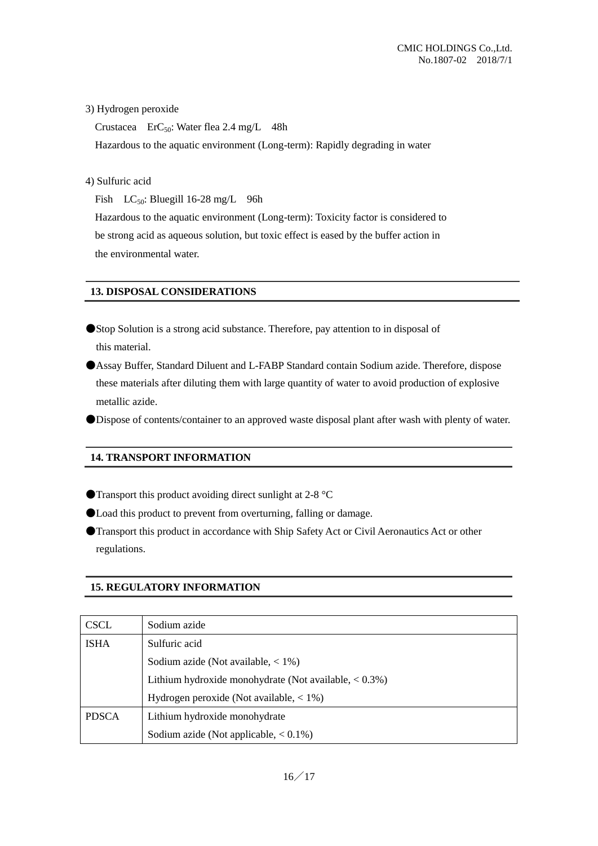# 3) Hydrogen peroxide

Crustacea ErC<sub>50</sub>: Water flea 2.4 mg/L  $48h$ Hazardous to the aquatic environment (Long-term): Rapidly degrading in water

4) Sulfuric acid

Fish  $LC_{50}$ : Bluegill 16-28 mg/L 96h

Hazardous to the aquatic environment (Long-term): Toxicity factor is considered to be strong acid as aqueous solution, but toxic effect is eased by the buffer action in the environmental water.

#### **13. DISPOSAL CONSIDERATIONS**

- ●Stop Solution is a strong acid substance. Therefore, pay attention to in disposal of this material.
- ●Assay Buffer, Standard Diluent and L-FABP Standard contain Sodium azide. Therefore, dispose these materials after diluting them with large quantity of water to avoid production of explosive metallic azide.

●Dispose of contents/container to an approved waste disposal plant after wash with plenty of water.

# **14. TRANSPORT INFORMATION**

- $\bullet$  Transport this product avoiding direct sunlight at 2-8  $\degree$ C
- ●Load this product to prevent from overturning, falling or damage.
- ●Transport this product in accordance with Ship Safety Act or Civil Aeronautics Act or other regulations.

#### **15. REGULATORY INFORMATION**

| <b>CSCL</b>  | Sodium azide                                              |
|--------------|-----------------------------------------------------------|
| <b>ISHA</b>  | Sulfuric acid                                             |
|              | Sodium azide (Not available, $< 1\%$ )                    |
|              | Lithium hydroxide monohydrate (Not available, $< 0.3\%$ ) |
|              | Hydrogen peroxide (Not available, $< 1\%$ )               |
| <b>PDSCA</b> | Lithium hydroxide monohydrate                             |
|              | Sodium azide (Not applicable, $< 0.1\%$ )                 |